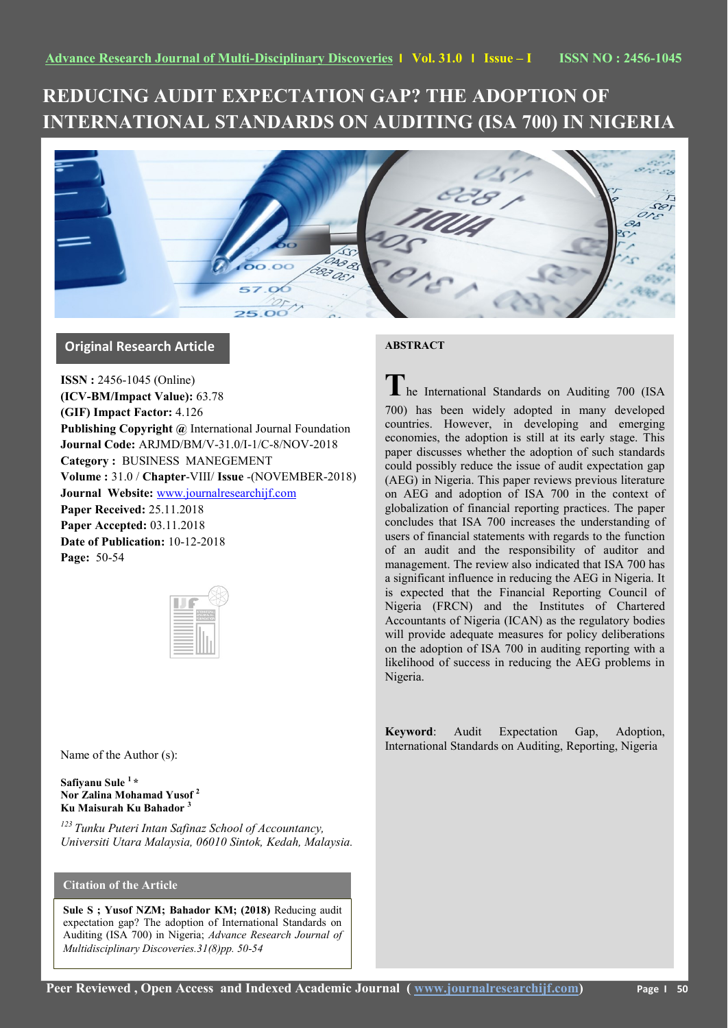# **REDUCING AUDIT EXPECTATION GAP? THE ADOPTION OF INTERNATIONAL STANDARDS ON AUDITING (ISA 700) IN NIGERIA**



## **Original Research Article**

**ISSN :** 2456-1045 (Online) **(ICV-BM/Impact Value):** 63.78 **(GIF) Impact Factor:** 4.126 **Publishing Copyright @** International Journal Foundation **Journal Code:** ARJMD/BM/V-31.0/I-1/C-8/NOV-2018 **Category :** BUSINESS MANEGEMENT **Volume :** 31.0 / **Chapter**-VIII/ **Issue** -(NOVEMBER-2018) **Journal Website:** [www.journalresearchijf.com](http://www.journalresearchijf.com/) **Paper Received:** 25.11.2018 **Paper Accepted:** 03.11.2018 **Date of Publication:** 10-12-2018 **Page:** 50-54

Name of the Author (s):

**Safiyanu Sule <sup>1</sup> \* Nor Zalina Mohamad Yusof <sup>2</sup> Ku Maisurah Ku Bahador <sup>3</sup>**

*<sup>123</sup>Tunku Puteri Intan Safinaz School of Accountancy, Universiti Utara Malaysia, 06010 Sintok, Kedah, Malaysia.*

### **Citation of the Article**

**Sule S ; Yusof NZM; Bahador KM; (2018)** Reducing audit expectation gap? The adoption of International Standards on Auditing (ISA 700) in Nigeria; *Advance Research Journal of Multidisciplinary Discoveries.31(8)pp. 50-54* 

#### **ABSTRACT**

**T**he International Standards on Auditing 700 (ISA 700) has been widely adopted in many developed countries. However, in developing and emerging economies, the adoption is still at its early stage. This paper discusses whether the adoption of such standards could possibly reduce the issue of audit expectation gap (AEG) in Nigeria. This paper reviews previous literature on AEG and adoption of ISA 700 in the context of globalization of financial reporting practices. The paper concludes that ISA 700 increases the understanding of users of financial statements with regards to the function of an audit and the responsibility of auditor and management. The review also indicated that ISA 700 has a significant influence in reducing the AEG in Nigeria. It is expected that the Financial Reporting Council of Nigeria (FRCN) and the Institutes of Chartered Accountants of Nigeria (ICAN) as the regulatory bodies will provide adequate measures for policy deliberations on the adoption of ISA 700 in auditing reporting with a likelihood of success in reducing the AEG problems in Nigeria.

**Keyword**: Audit Expectation Gap, Adoption, International Standards on Auditing, Reporting, Nigeria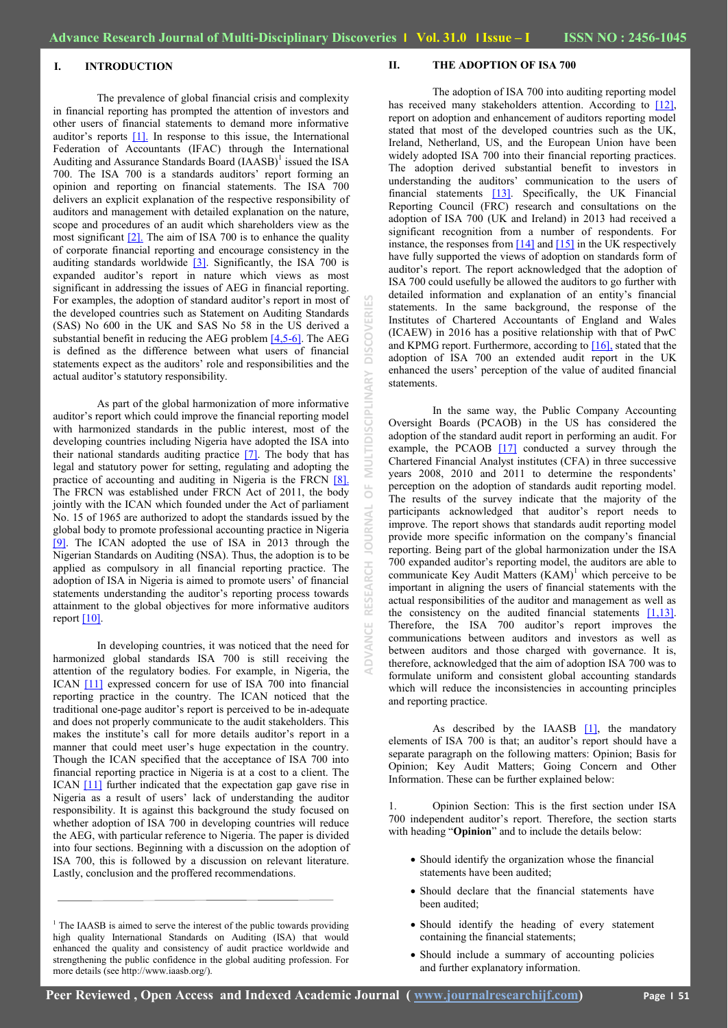#### **I. INTRODUCTION**

The prevalence of global financial crisis and complexity in financial reporting has prompted the attention of investors and other users of financial statements to demand more informative auditor's reports  $[1]$ . In response to this issue, the International Federation of Accountants (IFAC) through the International Auditing and Assurance Standards Board  $(IAASB)^1$  issued the ISA 700. The ISA 700 is a standards auditors" report forming an opinion and reporting on financial statements. The ISA 700 delivers an explicit explanation of the respective responsibility of auditors and management with detailed explanation on the nature, scope and procedures of an audit which shareholders view as the most significant [\[2\].](#page-3-0) The aim of ISA 700 is to enhance the quality of corporate financial reporting and encourage consistency in the auditing standards worldwide [\[3\].](#page-3-0) Significantly, the ISA 700 is expanded auditor's report in nature which views as most significant in addressing the issues of AEG in financial reporting. For examples, the adoption of standard auditor's report in most of the developed countries such as Statement on Auditing Standards (SAS) No 600 in the UK and SAS No 58 in the US derived a substantial benefit in reducing the AEG problem  $[4,5-6]$ . The AEG is defined as the difference between what users of financial statements expect as the auditors" role and responsibilities and the actual auditor"s statutory responsibility.

As part of the global harmonization of more informative auditor's report which could improve the financial reporting model with harmonized standards in the public interest, most of the developing countries including Nigeria have adopted the ISA into their national standards auditing practice  $[7]$ . The body that has legal and statutory power for setting, regulating and adopting the practice of accounting and auditing in Nigeria is the FRCN [\[8\].](#page-3-0) The FRCN was established under FRCN Act of 2011, the body jointly with the ICAN which founded under the Act of parliament No. 15 of 1965 are authorized to adopt the standards issued by the global body to promote professional accounting practice in Nigeria [\[9\].](#page-3-0) The ICAN adopted the use of ISA in 2013 through the Nigerian Standards on Auditing (NSA). Thus, the adoption is to be applied as compulsory in all financial reporting practice. The adoption of ISA in Nigeria is aimed to promote users" of financial statements understanding the auditor's reporting process towards attainment to the global objectives for more informative auditors report  $[10]$ .

In developing countries, it was noticed that the need for harmonized global standards ISA 700 is still receiving the attention of the regulatory bodies. For example, in Nigeria, the ICAN [\[11\]](#page-3-0) expressed concern for use of ISA 700 into financial reporting practice in the country. The ICAN noticed that the traditional one-page auditor"s report is perceived to be in-adequate and does not properly communicate to the audit stakeholders. This makes the institute's call for more details auditor's report in a manner that could meet user"s huge expectation in the country. Though the ICAN specified that the acceptance of ISA 700 into financial reporting practice in Nigeria is at a cost to a client. The ICAN [\[11\]](#page-3-0) further indicated that the expectation gap gave rise in Nigeria as a result of users" lack of understanding the auditor responsibility. It is against this background the study focused on whether adoption of ISA 700 in developing countries will reduce the AEG, with particular reference to Nigeria. The paper is divided into four sections. Beginning with a discussion on the adoption of ISA 700, this is followed by a discussion on relevant literature. Lastly, conclusion and the proffered recommendations.

#### **II. THE ADOPTION OF ISA 700**

The adoption of ISA 700 into auditing reporting model has received many stakeholders attention. According to [12], report on adoption and enhancement of auditors reporting model stated that most of the developed countries such as the UK, Ireland, Netherland, US, and the European Union have been widely adopted ISA 700 into their financial reporting practices. The adoption derived substantial benefit to investors in understanding the auditors' communication to the users of financial statements [\[13\].](#page-3-0) Specifically, the UK Financial Reporting Council (FRC) research and consultations on the adoption of ISA 700 (UK and Ireland) in 2013 had received a significant recognition from a number of respondents. For instance, the responses from  $[14]$  and  $[15]$  in the UK respectively have fully supported the views of adoption on standards form of auditor"s report. The report acknowledged that the adoption of ISA 700 could usefully be allowed the auditors to go further with detailed information and explanation of an entity's financial statements. In the same background, the response of the Institutes of Chartered Accountants of England and Wales (ICAEW) in 2016 has a positive relationship with that of PwC and KPMG report. Furthermore, according to [\[16\],](#page-3-0) stated that the adoption of ISA 700 an extended audit report in the UK enhanced the users" perception of the value of audited financial statements.

In the same way, the Public Company Accounting Oversight Boards (PCAOB) in the US has considered the adoption of the standard audit report in performing an audit. For example, the PCAOB [\[17\]](#page-3-0) conducted a survey through the Chartered Financial Analyst institutes (CFA) in three successive years 2008, 2010 and 2011 to determine the respondents' perception on the adoption of standards audit reporting model. The results of the survey indicate that the majority of the participants acknowledged that auditor's report needs to improve. The report shows that standards audit reporting model provide more specific information on the company"s financial reporting. Being part of the global harmonization under the ISA 700 expanded auditor"s reporting model, the auditors are able to communicate Key Audit Matters  $(KAM)^1$  which perceive to be important in aligning the users of financial statements with the actual responsibilities of the auditor and management as well as the consistency on the audited financial statements  $[1,13]$ . Therefore, the ISA 700 auditor's report improves the communications between auditors and investors as well as between auditors and those charged with governance. It is, therefore, acknowledged that the aim of adoption ISA 700 was to formulate uniform and consistent global accounting standards which will reduce the inconsistencies in accounting principles and reporting practice.

As described by the IAASB  $[1]$ , the mandatory elements of ISA 700 is that; an auditor's report should have a separate paragraph on the following matters: Opinion; Basis for Opinion; Key Audit Matters; Going Concern and Other Information. These can be further explained below:

1. Opinion Section: This is the first section under ISA 700 independent auditor"s report. Therefore, the section starts with heading "**Opinion**" and to include the details below:

- Should identify the organization whose the financial statements have been audited;
- Should declare that the financial statements have been audited;
- Should identify the heading of every statement containing the financial statements;
- Should include a summary of accounting policies and further explanatory information.

**ADVANCE RESEARCH JOURNAL OF MULTIDISCIPLINARY DISCOVERIES**

ā

<sup>&</sup>lt;sup>1</sup> The IAASB is aimed to serve the interest of the public towards providing high quality International Standards on Auditing (ISA) that would enhanced the quality and consistency of audit practice worldwide and strengthening the public confidence in the global auditing profession. For more details (see http://www.iaasb.org/).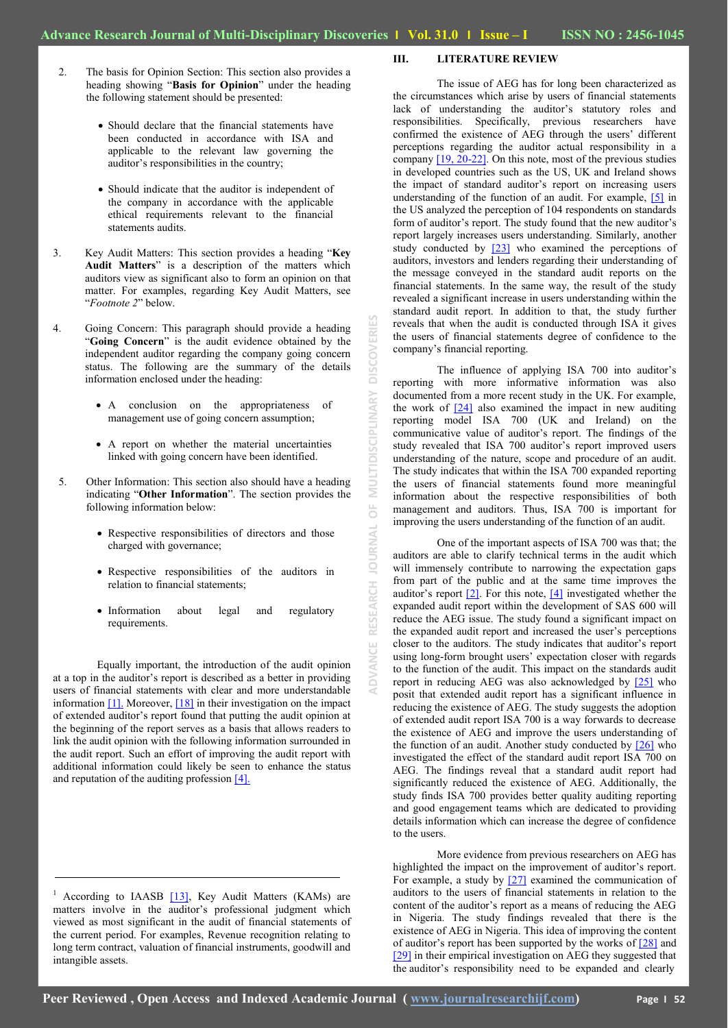**ADVANCE RESEARCH JOURNAL OF MULTIDISCIPLINARY DISCOVERIES**

 $\frac{1}{\sqrt{2}}$ 

**JOURNAL** 

RESEARCH

**MULTIDISCIPLINARY** 

**DISCOVERI** 

- 2. The basis for Opinion Section: This section also provides a heading showing "**Basis for Opinion**" under the heading the following statement should be presented:
	- Should declare that the financial statements have been conducted in accordance with ISA and applicable to the relevant law governing the auditor's responsibilities in the country;
	- Should indicate that the auditor is independent of the company in accordance with the applicable ethical requirements relevant to the financial statements audits.
- 3. Key Audit Matters: This section provides a heading "**Key Audit Matters**" is a description of the matters which auditors view as significant also to form an opinion on that matter. For examples, regarding Key Audit Matters, see "*Footnote 2*" below.
- 4. Going Concern: This paragraph should provide a heading "**Going Concern**" is the audit evidence obtained by the independent auditor regarding the company going concern status. The following are the summary of the details information enclosed under the heading:
	- A conclusion on the appropriateness of management use of going concern assumption;
	- A report on whether the material uncertainties linked with going concern have been identified.
- 5. Other Information: This section also should have a heading indicating "**Other Information**". The section provides the following information below:
	- Respective responsibilities of directors and those charged with governance;
	- Respective responsibilities of the auditors in relation to financial statements;
	- Information about legal and regulatory requirements.

Equally important, the introduction of the audit opinion at a top in the auditor"s report is described as a better in providing users of financial statements with clear and more understandable information [\[1\].](#page-3-0) Moreover[, \[18\]](#page-3-0) in their investigation on the impact of extended auditor"s report found that putting the audit opinion at the beginning of the report serves as a basis that allows readers to link the audit opinion with the following information surrounded in the audit report. Such an effort of improving the audit report with additional information could likely be seen to enhance the status and reputation of the auditing profession  $[4]$ .

#### **III. LITERATURE REVIEW**

The issue of AEG has for long been characterized as the circumstances which arise by users of financial statements lack of understanding the auditor's statutory roles and responsibilities. Specifically, previous researchers have confirmed the existence of AEG through the users' different perceptions regarding the auditor actual responsibility in a company [\[19, 20-22\].](#page-3-0) On this note, most of the previous studies in developed countries such as the US, UK and Ireland shows the impact of standard auditor"s report on increasing users understanding of the function of an audit. For example, [\[5\]](#page-3-0) in the US analyzed the perception of 104 respondents on standards form of auditor's report. The study found that the new auditor's report largely increases users understanding. Similarly, another study conducted by [\[23\]](#page-3-0) who examined the perceptions of auditors, investors and lenders regarding their understanding of the message conveyed in the standard audit reports on the financial statements. In the same way, the result of the study revealed a significant increase in users understanding within the standard audit report. In addition to that, the study further reveals that when the audit is conducted through ISA it gives the users of financial statements degree of confidence to the company"s financial reporting.

The influence of applying ISA 700 into auditor's reporting with more informative information was also documented from a more recent study in the UK. For example, the work of  $[24]$  also examined the impact in new auditing reporting model ISA 700 (UK and Ireland) on the communicative value of auditor"s report. The findings of the study revealed that ISA 700 auditor's report improved users understanding of the nature, scope and procedure of an audit. The study indicates that within the ISA 700 expanded reporting the users of financial statements found more meaningful information about the respective responsibilities of both management and auditors. Thus, ISA 700 is important for improving the users understanding of the function of an audit.

One of the important aspects of ISA 700 was that; the auditors are able to clarify technical terms in the audit which will immensely contribute to narrowing the expectation gaps from part of the public and at the same time improves the auditor's report  $[2]$ . For this note,  $[4]$  investigated whether the expanded audit report within the development of SAS 600 will reduce the AEG issue. The study found a significant impact on the expanded audit report and increased the user's perceptions closer to the auditors. The study indicates that auditor"s report using long-form brought users" expectation closer with regards to the function of the audit. This impact on the standards audit report in reducing AEG was also acknowledged by [\[25\]](#page-3-0) who posit that extended audit report has a significant influence in reducing the existence of AEG. The study suggests the adoption of extended audit report ISA 700 is a way forwards to decrease the existence of AEG and improve the users understanding of the function of an audit. Another study conducted by  $[26]$  who investigated the effect of the standard audit report ISA 700 on AEG. The findings reveal that a standard audit report had significantly reduced the existence of AEG. Additionally, the study finds ISA 700 provides better quality auditing reporting and good engagement teams which are dedicated to providing details information which can increase the degree of confidence to the users.

More evidence from previous researchers on AEG has highlighted the impact on the improvement of auditor's report. For example, a study by  $[27]$  examined the communication of auditors to the users of financial statements in relation to the content of the auditor"s report as a means of reducing the AEG in Nigeria. The study findings revealed that there is the existence of AEG in Nigeria. This idea of improving the content of auditor's report has been supported by the works of  $[28]$  and [\[29\]](#page-3-0) in their empirical investigation on AEG they suggested that the auditor's responsibility need to be expanded and clearly

According to IAASB  $[13]$ , Key Audit Matters (KAMs) are matters involve in the auditor's professional judgment which viewed as most significant in the audit of financial statements of the current period. For examples, Revenue recognition relating to long term contract, valuation of financial instruments, goodwill and intangible assets.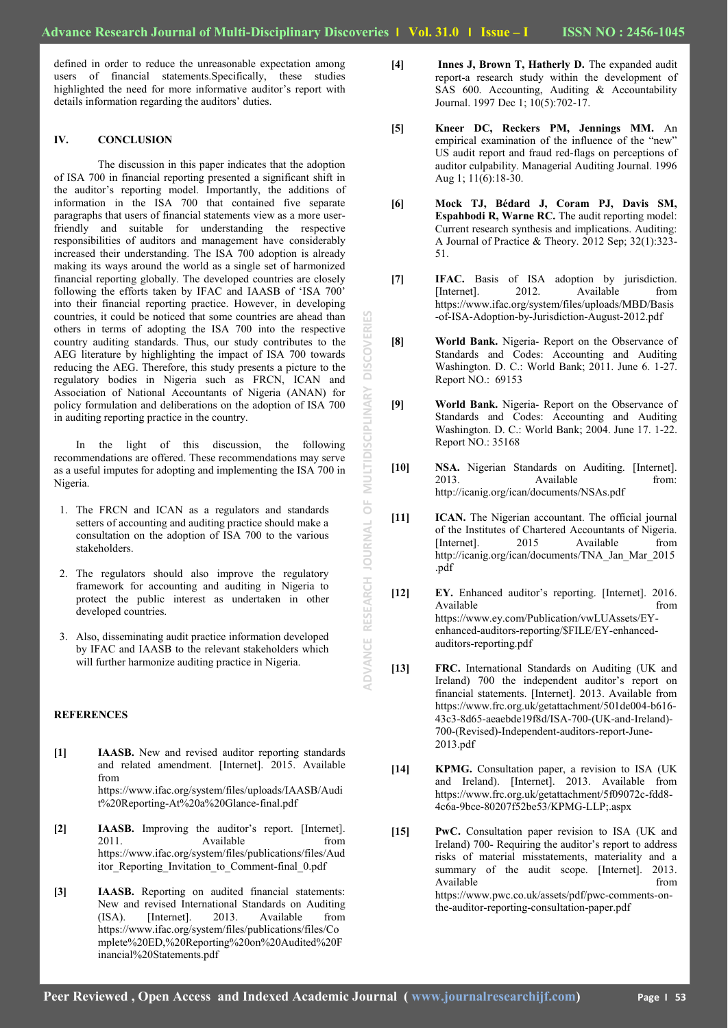defined in order to reduce the unreasonable expectation among users of financial statements.Specifically, these studies highlighted the need for more informative auditor's report with details information regarding the auditors' duties.

#### **IV. CONCLUSION**

The discussion in this paper indicates that the adoption of ISA 700 in financial reporting presented a significant shift in the auditor"s reporting model. Importantly, the additions of information in the ISA 700 that contained five separate paragraphs that users of financial statements view as a more userfriendly and suitable for understanding the respective responsibilities of auditors and management have considerably increased their understanding. The ISA 700 adoption is already making its ways around the world as a single set of harmonized financial reporting globally. The developed countries are closely following the efforts taken by IFAC and IAASB of 'ISA 700' into their financial reporting practice. However, in developing countries, it could be noticed that some countries are ahead than others in terms of adopting the ISA 700 into the respective country auditing standards. Thus, our study contributes to the AEG literature by highlighting the impact of ISA 700 towards reducing the AEG. Therefore, this study presents a picture to the regulatory bodies in Nigeria such as FRCN, ICAN and Association of National Accountants of Nigeria (ANAN) for policy formulation and deliberations on the adoption of ISA 700 in auditing reporting practice in the country.

In the light of this discussion, the following recommendations are offered. These recommendations may serve as a useful imputes for adopting and implementing the ISA 700 in Nigeria.

- 1. The FRCN and ICAN as a regulators and standards setters of accounting and auditing practice should make a consultation on the adoption of ISA 700 to the various stakeholders.
- 2. The regulators should also improve the regulatory framework for accounting and auditing in Nigeria to protect the public interest as undertaken in other developed countries.
- 3. Also, disseminating audit practice information developed by IFAC and IAASB to the relevant stakeholders which will further harmonize auditing practice in Nigeria.

#### <span id="page-3-0"></span>**REFERENCES**

- **[1] IAASB.** New and revised auditor reporting standards and related amendment. [Internet]. 2015. Available from https://www.ifac.org/system/files/uploads/IAASB/Audi t%20Reporting-At%20a%20Glance-final.pdf
- [2] **IAASB.** Improving the auditor's report. [Internet]. 2011. Available from https://www.ifac.org/system/files/publications/files/Aud itor Reporting Invitation to Comment-final 0.pdf
- **[3] IAASB.** Reporting on audited financial statements: New and revised International Standards on Auditing (ISA). [Internet]. 2013. Available from https://www.ifac.org/system/files/publications/files/Co mplete%20ED,%20Reporting%20on%20Audited%20F inancial%20Statements.pdf
- **[4] Innes J, Brown T, Hatherly D.** The expanded audit report-a research study within the development of SAS 600. Accounting, Auditing & Accountability Journal. 1997 Dec 1; 10(5):702-17.
- **[5] Kneer DC, Reckers PM, Jennings MM.** An empirical examination of the influence of the "new" US audit report and fraud red-flags on perceptions of auditor culpability. Managerial Auditing Journal. 1996 Aug 1; 11(6):18-30.
- **[6] Mock TJ, Bédard J, Coram PJ, Davis SM, Espahbodi R, Warne RC.** The audit reporting model: Current research synthesis and implications. Auditing: A Journal of Practice & Theory. 2012 Sep; 32(1):323- 51.
- **[7] IFAC.** Basis of ISA adoption by jurisdiction. [Internet]. 2012. Available from https://www.ifac.org/system/files/uploads/MBD/Basis -of-ISA-Adoption-by-Jurisdiction-August-2012.pdf
- **[8] World Bank.** Nigeria- Report on the Observance of Standards and Codes: Accounting and Auditing Washington. D. C.: World Bank; 2011. June 6. 1-27. Report NO.: 69153
- **[9] World Bank.** Nigeria- Report on the Observance of Standards and Codes: Accounting and Auditing Washington. D. C.: World Bank; 2004. June 17. 1-22. Report NO.: 35168
- **[10] NSA.** Nigerian Standards on Auditing. [Internet]. 2013. Available from: http://icanig.org/ican/documents/NSAs.pdf
- **[11] ICAN.** The Nigerian accountant. The official journal of the Institutes of Chartered Accountants of Nigeria. [Internet]. 2015 Available from http://icanig.org/ican/documents/TNA\_Jan\_Mar\_2015 .pdf
- **[12] EY.** Enhanced auditor"s reporting. [Internet]. 2016. Available from from  $\sim$ https://www.ey.com/Publication/vwLUAssets/EYenhanced-auditors-reporting/\$FILE/EY-enhancedauditors-reporting.pdf
- **[13] FRC.** International Standards on Auditing (UK and Ireland) 700 the independent auditor's report on financial statements. [Internet]. 2013. Available from https://www.frc.org.uk/getattachment/501de004-b616- 43c3-8d65-aeaebde19f8d/ISA-700-(UK-and-Ireland)- 700-(Revised)-Independent-auditors-report-June-2013.pdf
- **[14] KPMG.** Consultation paper, a revision to ISA (UK and Ireland). [Internet]. 2013. Available from https://www.frc.org.uk/getattachment/5f09072c-fdd8- 4c6a-9bce-80207f52be53/KPMG-LLP;.aspx
- **[15] PwC.** Consultation paper revision to ISA (UK and Ireland) 700- Requiring the auditor's report to address risks of material misstatements, materiality and a summary of the audit scope. [Internet]. 2013. Available from  $\blacksquare$ https://www.pwc.co.uk/assets/pdf/pwc-comments-onthe-auditor-reporting-consultation-paper.pdf

**ADVANCE RESEARCH JOURNAL OF MULTIDISCIPLINARY DISCOVERIES**

 $\overline{O}$ 

ADVANCE RESEARCH JOURNAL

MULTIDISCIPLINARY

**DISCOVERIES**